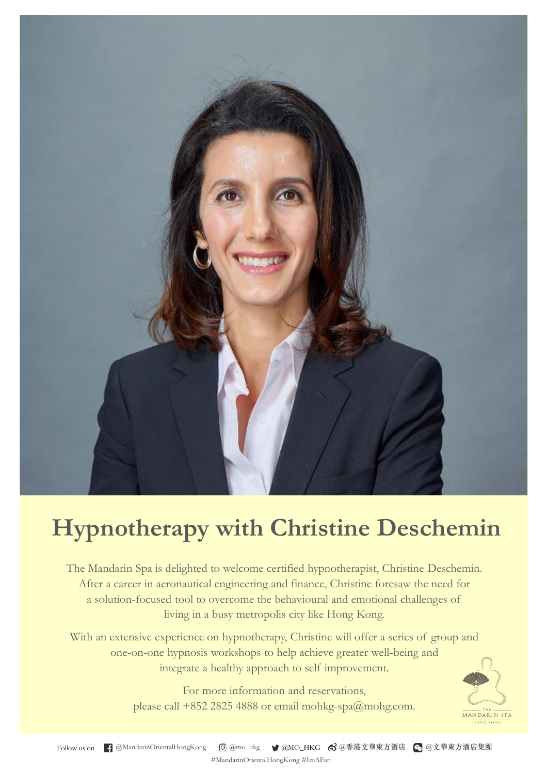

## **Hypnotherapy with Christine Deschemin**

The Mandarin Spa is delighted to welcome certified hypnotherapist, Christine Deschemin. After a career in aeronautical engineering and finance, Christine foresaw the need for a solution-focused tool to overcome the behavioural and emotional challenges of living in a busy metropolis city like Hong Kong.

With an extensive experience on hypnotherapy, Christine will offer a series of group and one-on-one hypnosis workshops to help achieve greater well-being and integrate a healthy approach to self-improvement.

> For more information and reservations, please call +852 2825 4888 or email mohkg-spa@mohg.com.